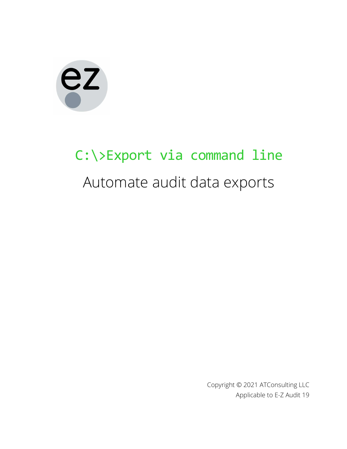# ez

## C: \>Export via command line Automate audit data exports

Copyright © 2021 ATConsulting LLC Applicable to E-Z Audit 19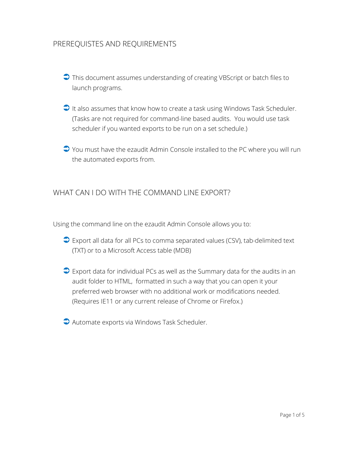### PREREQUISTES AND REQUIREMENTS

- This document assumes understanding of creating VBScript or batch files to launch programs.
- $\Box$  It also assumes that know how to create a task using Windows Task Scheduler. (Tasks are not required for command-line based audits. You would use task scheduler if you wanted exports to be run on a set schedule.)
- $\bigcirc$  You must have the ezaudit Admin Console installed to the PC where you will run the automated exports from.

#### WHAT CAN I DO WITH THE COMMAND LINE EXPORT?

Using the command line on the ezaudit Admin Console allows you to:

- **■** Export all data for all PCs to comma separated values (CSV), tab-delimited text (TXT) or to a Microsoft Access table (MDB)
- $\supseteq$  Export data for individual PCs as well as the Summary data for the audits in an audit folder to HTML, formatted in such a way that you can open it your preferred web browser with no additional work or modifications needed. (Requires IE11 or any current release of Chrome or Firefox.)
- Automate exports via Windows Task Scheduler.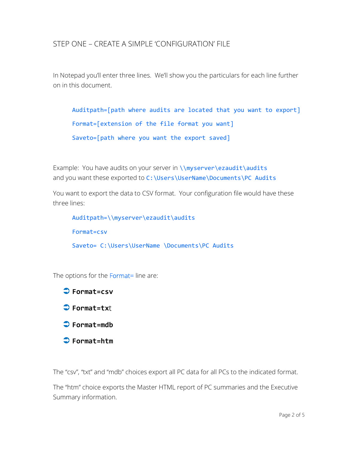#### STEP ONE – CREATE A SIMPLE 'CONFIGURATION' FILE

In Notepad you'll enter three lines. We'll show you the particulars for each line further on in this document.

```
Auditpath=[path where audits are located that you want to export] 
Format=[extension of the file format you want] 
Saveto=[path where you want the export saved]
```
Example: You have audits on your server in \\myserver\ezaudit\audits and you want these exported to C:\Users\UserName\Documents\PC Audits

You want to export the data to CSV format. Your configuration file would have these three lines:

```
Auditpath=\\myserver\ezaudit\audits 
Format=csv 
Saveto= C:\Users\UserName \Documents\PC Audits
```
The options for the Format= line are:

**→ Format=csv**  $\bigcirc$  Format=txt Format=mdb Format=htm

The "csv", "txt" and "mdb" choices export all PC data for all PCs to the indicated format.

The "htm" choice exports the Master HTML report of PC summaries and the Executive Summary information.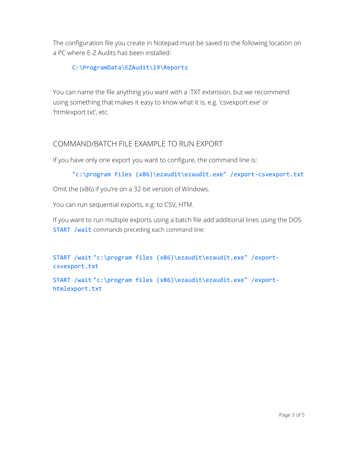The configuration file you create in Notepad must be saved to the following location on a PC where E-Z Audits has been installed:

#### C:\ProgramData\EZAudit\19\Reports

You can name the file anything you want with a .TXT extension, but we recommend using something that makes it easy to know what it is, e.g. 'csvexport.exe' or 'htmlexport.txt', etc.

#### COMMAND/BATCH FILE EXAMPLE TO RUN EXPORT

If you have only one export you want to configure, the command line is:

```
"c:\program files (x86)\ezaudit\ezaudit.exe" /export-csvexport.txt
```
Omit the (x86) if you're on a 32-bit version of Windows.

You can run sequential exports, e.g. to CSV, HTM.

If you want to run multiple exports using a batch file add additional lines using the DOS START /wait commands preceding each command line:

START /wait "c:\program files (x86)\ezaudit\ezaudit.exe" /exportcsvexport.txt

START /wait "c:\program files (x86)\ezaudit\ezaudit.exe" /exporthtmlexport.txt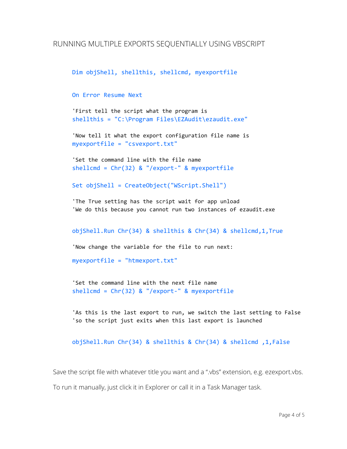```
Dim objShell, shellthis, shellcmd, myexportfile
```
On Error Resume Next

'First tell the script what the program is shellthis = "C:\Program Files\EZAudit\ezaudit.exe"

```
'Now tell it what the export configuration file name is 
myexportfile = "csvexport.txt"
```

```
'Set the command line with the file name 
shellcmd = Chr(32) & "/export-" & myexportfile
```

```
Set objShell = CreateObject("WScript.Shell")
```
'The True setting has the script wait for app unload 'We do this because you cannot run two instances of ezaudit.exe

```
objShell.Run Chr(34) & shellthis & Chr(34) & shellcmd,1,True
```
'Now change the variable for the file to run next:

```
myexportfile = "htmexport.txt"
```

```
'Set the command line with the next file name 
shellcmd = Chr(32) & "/export-" & myexportfile
```
'As this is the last export to run, we switch the last setting to False 'so the script just exits when this last export is launched

```
objShell.Run Chr(34) & shellthis & Chr(34) & shellcmd ,1,False
```
Save the script file with whatever title you want and a ".vbs" extension, e.g. ezexport.vbs.

To run it manually, just click it in Explorer or call it in a Task Manager task.